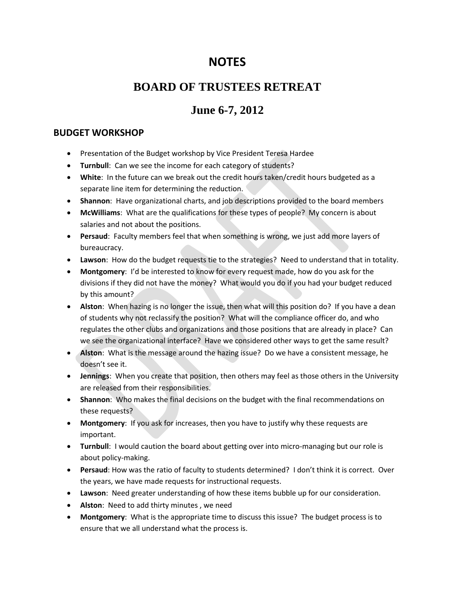# **NOTES**

## **BOARD OF TRUSTEES RETREAT**

# **June 6-7, 2012**

#### **BUDGET WORKSHOP**

- **Presentation of the Budget workshop by Vice President Teresa Hardee**
- **Turnbull:** Can we see the income for each category of students?
- **White**: In the future can we break out the credit hours taken/credit hours budgeted as a separate line item for determining the reduction.
- **Shannon**: Have organizational charts, and job descriptions provided to the board members
- **McWilliams**: What are the qualifications for these types of people? My concern is about salaries and not about the positions.
- **Persaud**: Faculty members feel that when something is wrong, we just add more layers of bureaucracy.
- **Lawson**: How do the budget requests tie to the strategies? Need to understand that in totality.
- **Montgomery**: I'd be interested to know for every request made, how do you ask for the divisions if they did not have the money? What would you do if you had your budget reduced by this amount?
- **Alston**: When hazing is no longer the issue, then what will this position do? If you have a dean of students why not reclassify the position? What will the compliance officer do, and who regulates the other clubs and organizations and those positions that are already in place? Can we see the organizational interface? Have we considered other ways to get the same result?
- **Alston**: What is the message around the hazing issue? Do we have a consistent message, he doesn't see it.
- **Jennings**: When you create that position, then others may feel as those others in the University are released from their responsibilities.
- **Shannon**: Who makes the final decisions on the budget with the final recommendations on these requests?
- **Montgomery**: If you ask for increases, then you have to justify why these requests are important.
- **Turnbull**: I would caution the board about getting over into micro-managing but our role is about policy-making.
- **Persaud**: How was the ratio of faculty to students determined? I don't think it is correct. Over the years, we have made requests for instructional requests.
- **Lawson**: Need greater understanding of how these items bubble up for our consideration.
- **Alston**: Need to add thirty minutes , we need
- **Montgomery**: What is the appropriate time to discuss this issue? The budget process is to ensure that we all understand what the process is.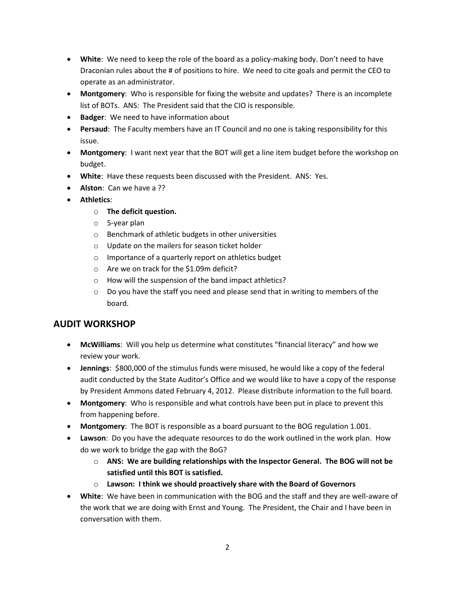- **White**: We need to keep the role of the board as a policy-making body. Don't need to have Draconian rules about the # of positions to hire. We need to cite goals and permit the CEO to operate as an administrator.
- **Montgomery**: Who is responsible for fixing the website and updates? There is an incomplete list of BOTs. ANS: The President said that the CIO is responsible.
- **Badger**: We need to have information about
- **Persaud**: The Faculty members have an IT Council and no one is taking responsibility for this issue.
- **Montgomery**: I want next year that the BOT will get a line item budget before the workshop on budget.
- **White**: Have these requests been discussed with the President. ANS: Yes.
- **Alston**: Can we have a ??
- **Athletics**:
	- o **The deficit question.**
	- o 5-year plan
	- o Benchmark of athletic budgets in other universities
	- o Update on the mailers for season ticket holder
	- o Importance of a quarterly report on athletics budget
	- o Are we on track for the \$1.09m deficit?
	- o How will the suspension of the band impact athletics?
	- $\circ$  Do you have the staff you need and please send that in writing to members of the board.

### **AUDIT WORKSHOP**

- **McWilliams**: Will you help us determine what constitutes "financial literacy" and how we review your work.
- **Jennings**: \$800,000 of the stimulus funds were misused, he would like a copy of the federal audit conducted by the State Auditor's Office and we would like to have a copy of the response by President Ammons dated February 4, 2012. Please distribute information to the full board.
- **Montgomery**: Who is responsible and what controls have been put in place to prevent this from happening before.
- **Montgomery**: The BOT is responsible as a board pursuant to the BOG regulation 1.001.
- **Lawson**: Do you have the adequate resources to do the work outlined in the work plan. How do we work to bridge the gap with the BoG?
	- o **ANS: We are building relationships with the Inspector General. The BOG will not be satisfied until this BOT is satisfied.**
	- o **Lawson: I think we should proactively share with the Board of Governors**
- **White**: We have been in communication with the BOG and the staff and they are well-aware of the work that we are doing with Ernst and Young. The President, the Chair and I have been in conversation with them.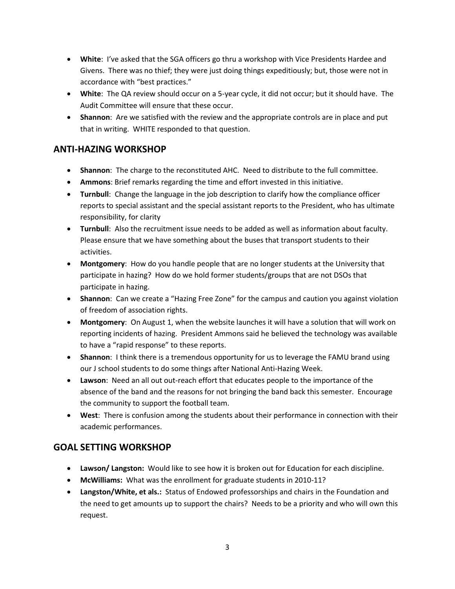- **White**: I've asked that the SGA officers go thru a workshop with Vice Presidents Hardee and Givens. There was no thief; they were just doing things expeditiously; but, those were not in accordance with "best practices."
- **White**: The QA review should occur on a 5-year cycle, it did not occur; but it should have. The Audit Committee will ensure that these occur.
- **Shannon**: Are we satisfied with the review and the appropriate controls are in place and put that in writing. WHITE responded to that question.

### **ANTI-HAZING WORKSHOP**

- **Shannon**: The charge to the reconstituted AHC. Need to distribute to the full committee.
- **Ammons**: Brief remarks regarding the time and effort invested in this initiative.
- **Turnbull**: Change the language in the job description to clarify how the compliance officer reports to special assistant and the special assistant reports to the President, who has ultimate responsibility, for clarity
- **Turnbull**: Also the recruitment issue needs to be added as well as information about faculty. Please ensure that we have something about the buses that transport students to their activities.
- **Montgomery**: How do you handle people that are no longer students at the University that participate in hazing? How do we hold former students/groups that are not DSOs that participate in hazing.
- **Shannon**: Can we create a "Hazing Free Zone" for the campus and caution you against violation of freedom of association rights.
- **Montgomery**: On August 1, when the website launches it will have a solution that will work on reporting incidents of hazing. President Ammons said he believed the technology was available to have a "rapid response" to these reports.
- **Shannon**: I think there is a tremendous opportunity for us to leverage the FAMU brand using our J school students to do some things after National Anti-Hazing Week.
- **Lawson**: Need an all out out-reach effort that educates people to the importance of the absence of the band and the reasons for not bringing the band back this semester. Encourage the community to support the football team.
- **West**: There is confusion among the students about their performance in connection with their academic performances.

### **GOAL SETTING WORKSHOP**

- **Lawson/ Langston:** Would like to see how it is broken out for Education for each discipline.
- **McWilliams:** What was the enrollment for graduate students in 2010-11?
- **Langston/White, et als.:** Status of Endowed professorships and chairs in the Foundation and the need to get amounts up to support the chairs? Needs to be a priority and who will own this request.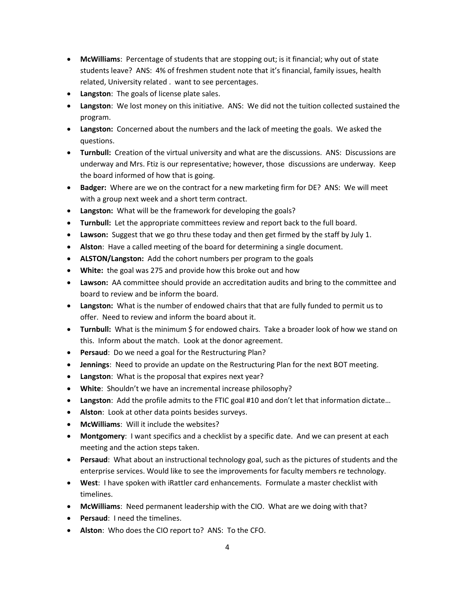- **McWilliams**: Percentage of students that are stopping out; is it financial; why out of state students leave? ANS: 4% of freshmen student note that it's financial, family issues, health related, University related . want to see percentages.
- **Langston**: The goals of license plate sales.
- **Langston**: We lost money on this initiative. ANS: We did not the tuition collected sustained the program.
- **Langston:** Concerned about the numbers and the lack of meeting the goals. We asked the questions.
- **Turnbull:** Creation of the virtual university and what are the discussions. ANS: Discussions are underway and Mrs. Ftiz is our representative; however, those discussions are underway.Keep the board informed of how that is going.
- **Badger:** Where are we on the contract for a new marketing firm for DE? ANS: We will meet with a group next week and a short term contract.
- **Langston:** What will be the framework for developing the goals?
- **Turnbull:** Let the appropriate committees review and report back to the full board.
- **Lawson:** Suggest that we go thru these today and then get firmed by the staff by July 1.
- **Alston**: Have a called meeting of the board for determining a single document.
- **ALSTON/Langston:** Add the cohort numbers per program to the goals
- **White:** the goal was 275 and provide how this broke out and how
- **Lawson:** AA committee should provide an accreditation audits and bring to the committee and board to review and be inform the board.
- **Langston:** What is the number of endowed chairs that that are fully funded to permit us to offer. Need to review and inform the board about it.
- **Turnbull:** What is the minimum \$ for endowed chairs. Take a broader look of how we stand on this. Inform about the match. Look at the donor agreement.
- **Persaud**: Do we need a goal for the Restructuring Plan?
- **Jennings**: Need to provide an update on the Restructuring Plan for the next BOT meeting.
- **Langston**: What is the proposal that expires next year?
- **White**: Shouldn't we have an incremental increase philosophy?
- **Langston**: Add the profile admits to the FTIC goal #10 and don't let that information dictate…
- **Alston**: Look at other data points besides surveys.
- **McWilliams**: Will it include the websites?
- **Montgomery**: I want specifics and a checklist by a specific date. And we can present at each meeting and the action steps taken.
- **Persaud**: What about an instructional technology goal, such as the pictures of students and the enterprise services. Would like to see the improvements for faculty members re technology.
- **West**: I have spoken with iRattler card enhancements. Formulate a master checklist with timelines.
- **McWilliams**: Need permanent leadership with the CIO. What are we doing with that?
- **Persaud**: I need the timelines.
- **Alston**: Who does the CIO report to? ANS: To the CFO.